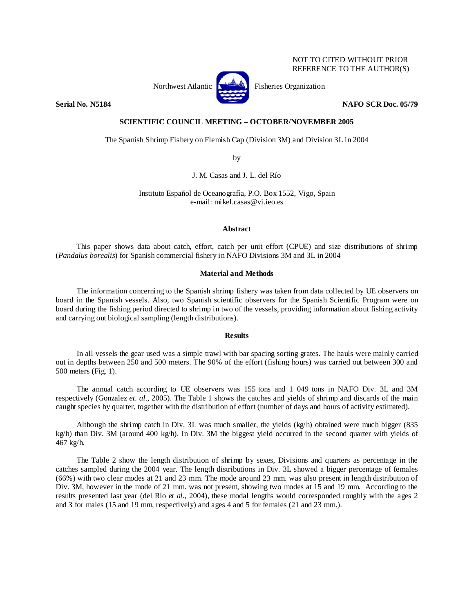## NOT TO CITED WITHOUT PRIOR REFERENCE TO THE AUTHOR(S)



Northwest Atlantic  $\begin{bmatrix} 1 & 1 \\ 1 & 2 \end{bmatrix}$  Fisheries Organization

**Serial No. N5184 NAFO SCR Doc. 05/79 NAFO SCR Doc. 05/79** 

## **SCIENTIFIC COUNCIL MEETING – OCTOBER/NOVEMBER 2005**

The Spanish Shrimp Fishery on Flemish Cap (Division 3M) and Division 3L in 2004

by

J. M. Casas and J. L. del Río

Instituto Español de Oceanografía, P.O. Box 1552, Vigo, Spain e-mail: mikel.casas@vi.ieo.es

### **Abstract**

This paper shows data about catch, effort, catch per unit effort (CPUE) and size distributions of shrimp (*Pandalus borealis*) for Spanish commercial fishery in NAFO Divisions 3M and 3L in 2004

# **Material and Methods**

The information concerning to the Spanish shrimp fishery was taken from data collected by UE observers on board in the Spanish vessels. Also, two Spanish scientific observers for the Spanish Scientific Program were on board during the fishing period directed to shrimp in two of the vessels, providing information about fishing activity and carrying out biological sampling (length distributions).

## **Results**

In all vessels the gear used was a simple trawl with bar spacing sorting grates. The hauls were mainly carried out in depths between 250 and 500 meters. The 90% of the effort (fishing hours) was carried out between 300 and 500 meters (Fig. 1).

The annual catch according to UE observers was 155 tons and 1 049 tons in NAFO Div. 3L and 3M respectively (Gonzalez *et. al*., 2005). The Table 1 shows the catches and yields of shrimp and discards of the main caught species by quarter, together with the distribution of effort (number of days and hours of activity estimated).

Although the shrimp catch in Div. 3L was much smaller, the yields (kg/h) obtained were much bigger (835 kg/h) than Div. 3M (around 400 kg/h). In Div. 3M the biggest yield occurred in the second quarter with yields of 467 kg/h.

The Table 2 show the length distribution of shrimp by sexes, Divisions and quarters as percentage in the catches sampled during the 2004 year. The length distributions in Div. 3L showed a bigger percentage of females (66%) with two clear modes at 21 and 23 mm. The mode around 23 mm. was also present in length distribution of Div. 3M, however in the mode of 21 mm. was not present, showing two modes at 15 and 19 mm. According to the results presented last year (del Río *et al*., 2004), these modal lengths would corresponded roughly with the ages 2 and 3 for males (15 and 19 mm, respectively) and ages 4 and 5 for females (21 and 23 mm.).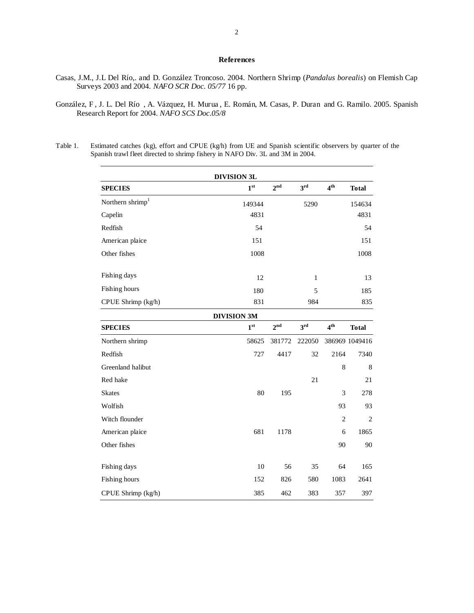### **References**

- Casas, J.M., J.L Del Río,. and D. González Troncoso. 2004. Northern Shrimp (*Pandalus borealis*) on Flemish Cap Surveys 2003 and 2004. *NAFO SCR Doc. 05/77* 16 pp.
- González, F , J. L. Del Río , A. Vázquez, H. Murua , E. Román, M. Casas, P. Duran and G. Ramilo. 2005. Spanish Research Report for 2004. *NAFO SCS Doc.05/8*
- Table 1. Estimated catches (kg), effort and CPUE (kg/h) from UE and Spanish scientific observers by quarter of the Spanish trawl fleet directed to shrimp fishery in NAFO Div. 3L and 3M in 2004.

|                              | <b>DIVISION 3L</b> |                 |                 |                 |                |
|------------------------------|--------------------|-----------------|-----------------|-----------------|----------------|
| <b>SPECIES</b>               | 1 <sup>st</sup>    | $2^{\text{nd}}$ | 3rd             | 4 <sup>th</sup> | <b>Total</b>   |
| Northern shrimp <sup>1</sup> | 149344             |                 | 5290            |                 | 154634         |
| Capelin                      | 4831               |                 |                 |                 | 4831           |
| Redfish                      | 54                 |                 |                 |                 | 54             |
| American plaice              | 151                |                 |                 |                 | 151            |
| Other fishes                 | 1008               |                 |                 |                 | 1008           |
| Fishing days                 | 12                 |                 | $\mathbf{1}$    |                 | 13             |
| Fishing hours                | 180                |                 | 5               |                 | 185            |
| CPUE Shrimp (kg/h)           | 831                |                 | 984             |                 | 835            |
|                              | <b>DIVISION 3M</b> |                 |                 |                 |                |
| <b>SPECIES</b>               | 1 <sup>st</sup>    | 2 <sup>nd</sup> | 3 <sup>rd</sup> | 4 <sup>th</sup> | <b>Total</b>   |
| Northern shrimp              | 58625              | 381772          | 222050          |                 | 386969 1049416 |
| Redfish                      | 727                | 4417            | 32              | 2164            | 7340           |
| Greenland halibut            |                    |                 |                 | 8               | 8              |
| Red hake                     |                    |                 | 21              |                 | 21             |
| <b>Skates</b>                | 80                 | 195             |                 | 3               | 278            |
| Wolfish                      |                    |                 |                 | 93              | 93             |
| Witch flounder               |                    |                 |                 | $\overline{2}$  | $\overline{2}$ |
| American plaice              | 681                | 1178            |                 | 6               | 1865           |
| Other fishes                 |                    |                 |                 | 90              | 90             |

Fishing days 10 56 35 64 165 Fishing hours 152 826 580 1083 2641 CPUE Shrimp (kg/h) 385 462 383 357 397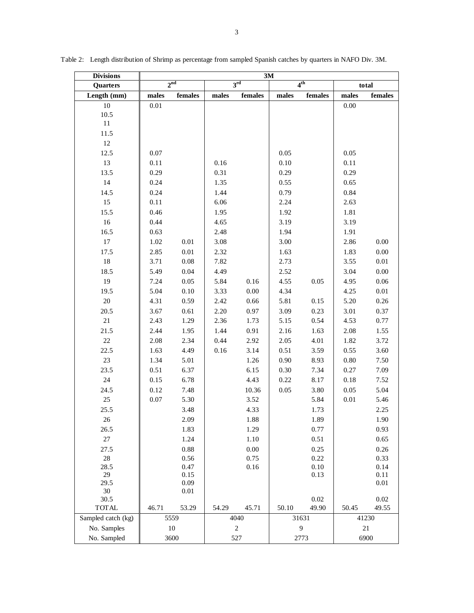| <b>Divisions</b>   | 3M              |          |                    |          |                 |         |             |          |  |  |
|--------------------|-----------------|----------|--------------------|----------|-----------------|---------|-------------|----------|--|--|
| Quarters           | 2 <sup>nd</sup> |          | 3 <sup>rd</sup>    |          | 4 <sup>th</sup> |         | total       |          |  |  |
| Length (mm)        | males           | females  | males              | females  | males           | females | males       | females  |  |  |
| $10\,$             | $0.01\,$        |          |                    |          |                 |         | 0.00        |          |  |  |
| 10.5               |                 |          |                    |          |                 |         |             |          |  |  |
| $11\,$             |                 |          |                    |          |                 |         |             |          |  |  |
| 11.5               |                 |          |                    |          |                 |         |             |          |  |  |
| $12\,$             |                 |          |                    |          |                 |         |             |          |  |  |
| 12.5               | 0.07            |          |                    |          | 0.05            |         | 0.05        |          |  |  |
| 13                 | 0.11            |          | 0.16               |          | 0.10            |         | 0.11        |          |  |  |
| 13.5               | 0.29            |          | 0.31               |          | 0.29            |         | 0.29        |          |  |  |
| 14                 | 0.24            |          | 1.35               |          | 0.55            |         | 0.65        |          |  |  |
| 14.5               | 0.24            |          | 1.44               |          | 0.79            |         | 0.84        |          |  |  |
| 15                 | 0.11            |          | 6.06               |          | 2.24            |         | 2.63        |          |  |  |
| 15.5               | 0.46            |          | 1.95               |          | 1.92            |         | 1.81        |          |  |  |
| 16                 | 0.44            |          | 4.65               |          | 3.19            |         | 3.19        |          |  |  |
| 16.5               | 0.63            |          | 2.48               |          | 1.94            |         | 1.91        |          |  |  |
| 17                 | 1.02            | $0.01\,$ | 3.08               |          | 3.00            |         | 2.86        | 0.00     |  |  |
| 17.5               | 2.85            | $0.01\,$ | 2.32               |          | 1.63            |         | 1.83        | $0.00\,$ |  |  |
| 18                 | 3.71            | $0.08\,$ | 7.82               |          | 2.73            |         | 3.55        | $0.01\,$ |  |  |
|                    |                 |          |                    |          |                 |         |             |          |  |  |
| 18.5               | 5.49            | 0.04     | 4.49               |          | 2.52            |         | 3.04        | $0.00\,$ |  |  |
| 19                 | 7.24            | 0.05     | 5.84               | 0.16     | 4.55            | 0.05    | 4.95        | $0.06\,$ |  |  |
| 19.5               | 5.04            | 0.10     | 3.33               | $0.00\,$ | 4.34            |         | 4.25        | $0.01\,$ |  |  |
| 20                 | 4.31            | 0.59     | 2.42               | 0.66     | 5.81            | 0.15    | 5.20        | 0.26     |  |  |
| 20.5               | 3.67            | 0.61     | 2.20               | 0.97     | 3.09            | 0.23    | 3.01        | 0.37     |  |  |
| 21                 | 2.43            | 1.29     | 2.36               | 1.73     | 5.15            | 0.54    | 4.53        | 0.77     |  |  |
| 21.5               | 2.44            | 1.95     | 1.44               | 0.91     | 2.16            | 1.63    | 2.08        | 1.55     |  |  |
| $22\,$             | 2.08            | 2.34     | 0.44               | 2.92     | 2.05            | 4.01    | 1.82        | 3.72     |  |  |
| 22.5               | 1.63            | 4.49     | 0.16               | 3.14     | 0.51            | 3.59    | 0.55        | 3.60     |  |  |
| 23                 | 1.34            | 5.01     |                    | 1.26     | 0.90            | 8.93    | $0.80\,$    | 7.50     |  |  |
| 23.5               | 0.51            | 6.37     |                    | 6.15     | 0.30            | 7.34    | 0.27        | 7.09     |  |  |
| 24                 | 0.15            | 6.78     |                    | 4.43     | 0.22            | 8.17    | 0.18        | 7.52     |  |  |
| 24.5               | 0.12            | 7.48     |                    | 10.36    | 0.05            | 3.80    | 0.05        | 5.04     |  |  |
| 25                 | 0.07            | 5.30     |                    | 3.52     |                 | 5.84    | $0.01\,$    | 5.46     |  |  |
| 25.5               |                 | 3.48     |                    | 4.33     |                 | 1.73    |             | 2.25     |  |  |
| $26\,$             |                 | 2.09     |                    | $1.88\,$ |                 | 1.89    |             | 1.90     |  |  |
| 26.5               |                 | 1.83     |                    | 1.29     |                 | 0.77    |             | 0.93     |  |  |
| $27\,$             |                 | 1.24     |                    | 1.10     |                 | 0.51    |             | 0.65     |  |  |
| 27.5               |                 | 0.88     |                    | $0.00\,$ |                 | 0.25    |             | 0.26     |  |  |
| $28\,$             |                 | 0.56     |                    | 0.75     |                 | 0.22    |             | 0.33     |  |  |
| 28.5               |                 | 0.47     |                    | 0.16     |                 | 0.10    |             | 0.14     |  |  |
| 29                 |                 | 0.15     |                    |          |                 | 0.13    |             | 0.11     |  |  |
| 29.5               |                 | 0.09     |                    |          |                 |         |             | 0.01     |  |  |
| 30<br>30.5         |                 | $0.01\,$ |                    |          |                 | 0.02    |             | 0.02     |  |  |
| <b>TOTAL</b>       | 46.71           | 53.29    | 54.29              | 45.71    | 50.10           | 49.90   | 50.45       | 49.55    |  |  |
| Sampled catch (kg) |                 |          |                    |          |                 |         |             |          |  |  |
| No. Samples        | 5559<br>$10\,$  |          | 4040<br>$\sqrt{2}$ |          | 31631<br>9      |         | 41230<br>21 |          |  |  |
|                    |                 |          |                    |          |                 |         |             |          |  |  |
| No. Sampled        | 3600            |          | 527                |          | 2773            |         | 6900        |          |  |  |

Table 2: Length distribution of Shrimp as percentage from sampled Spanish catches by quarters in NAFO Div. 3M.